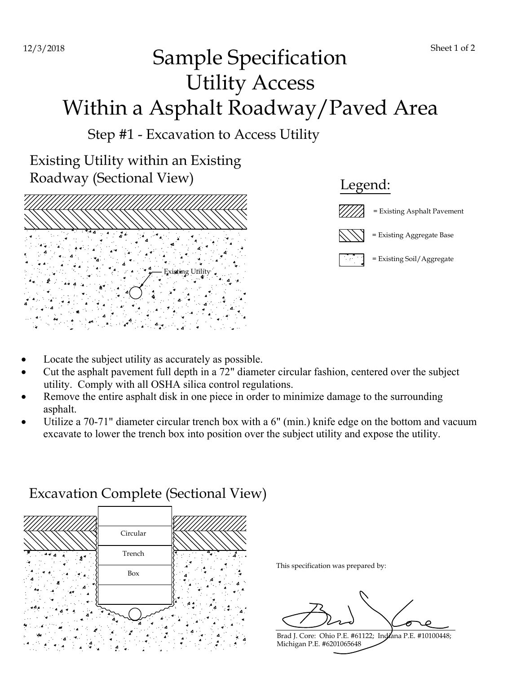## Sample Specification Utility Access Within a Asphalt Roadway/Paved Area

Step #1 - Excavation to Access Utility

Existing Utility within an Existing Roadway (Sectional View)





- Locate the subject utility as accurately as possible.
- Cut the asphalt pavement full depth in a 72" diameter circular fashion, centered over the subject utility. Comply with all OSHA silica control regulations.
- Remove the entire asphalt disk in one piece in order to minimize damage to the surrounding asphalt.
- Utilize a 70-71" diameter circular trench box with a 6" (min.) knife edge on the bottom and vacuum excavate to lower the trench box into position over the subject utility and expose the utility.



## Excavation Complete (Sectional View)

This specification was prepared by:

Brad J. Core: Ohio P.E. #61122; Indiana P.E. #10100448; Michigan P.E. #6201065648